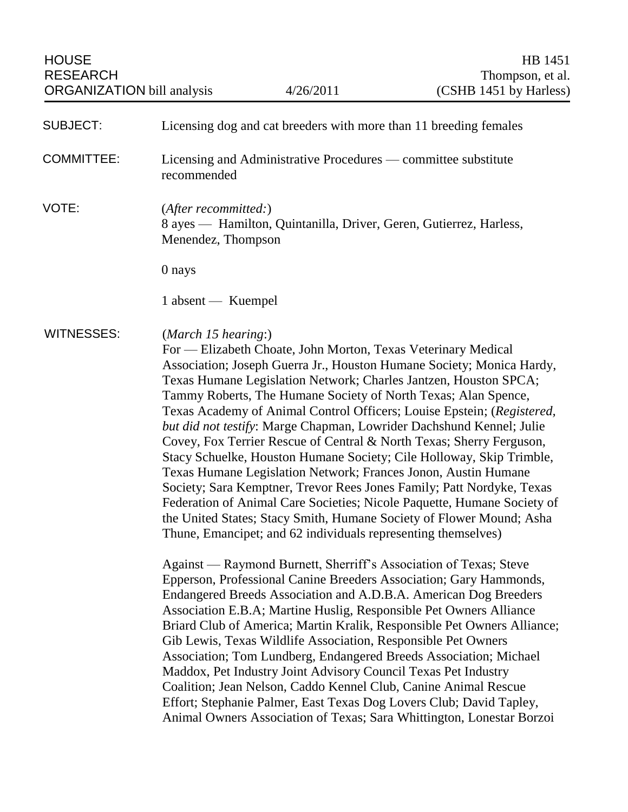| <b>SUBJECT:</b>   | Licensing dog and cat breeders with more than 11 breeding females                                                                                                                                                                                                                                                                                                                                                                                                                                                                                                                                                                                                                                                                                                                                                                                                                                                                                                                                                                                                                                                                                                                  |
|-------------------|------------------------------------------------------------------------------------------------------------------------------------------------------------------------------------------------------------------------------------------------------------------------------------------------------------------------------------------------------------------------------------------------------------------------------------------------------------------------------------------------------------------------------------------------------------------------------------------------------------------------------------------------------------------------------------------------------------------------------------------------------------------------------------------------------------------------------------------------------------------------------------------------------------------------------------------------------------------------------------------------------------------------------------------------------------------------------------------------------------------------------------------------------------------------------------|
| <b>COMMITTEE:</b> | Licensing and Administrative Procedures — committee substitute<br>recommended                                                                                                                                                                                                                                                                                                                                                                                                                                                                                                                                                                                                                                                                                                                                                                                                                                                                                                                                                                                                                                                                                                      |
| VOTE:             | (After recommitted:)<br>8 ayes - Hamilton, Quintanilla, Driver, Geren, Gutierrez, Harless,<br>Menendez, Thompson                                                                                                                                                                                                                                                                                                                                                                                                                                                                                                                                                                                                                                                                                                                                                                                                                                                                                                                                                                                                                                                                   |
|                   | 0 nays                                                                                                                                                                                                                                                                                                                                                                                                                                                                                                                                                                                                                                                                                                                                                                                                                                                                                                                                                                                                                                                                                                                                                                             |
|                   | 1 absent — Kuempel                                                                                                                                                                                                                                                                                                                                                                                                                                                                                                                                                                                                                                                                                                                                                                                                                                                                                                                                                                                                                                                                                                                                                                 |
| <b>WITNESSES:</b> | (March 15 hearing)<br>For — Elizabeth Choate, John Morton, Texas Veterinary Medical<br>Association; Joseph Guerra Jr., Houston Humane Society; Monica Hardy,<br>Texas Humane Legislation Network; Charles Jantzen, Houston SPCA;<br>Tammy Roberts, The Humane Society of North Texas; Alan Spence,<br>Texas Academy of Animal Control Officers; Louise Epstein; (Registered,<br>but did not testify: Marge Chapman, Lowrider Dachshund Kennel; Julie<br>Covey, Fox Terrier Rescue of Central & North Texas; Sherry Ferguson,<br>Stacy Schuelke, Houston Humane Society; Cile Holloway, Skip Trimble,<br>Texas Humane Legislation Network; Frances Jonon, Austin Humane<br>Society; Sara Kemptner, Trevor Rees Jones Family; Patt Nordyke, Texas<br>Federation of Animal Care Societies; Nicole Paquette, Humane Society of<br>the United States; Stacy Smith, Humane Society of Flower Mound; Asha<br>Thune, Emancipet; and 62 individuals representing themselves)<br>Against — Raymond Burnett, Sherriff's Association of Texas; Steve<br>Epperson, Professional Canine Breeders Association; Gary Hammonds,<br>Endangered Breeds Association and A.D.B.A. American Dog Breeders |
|                   | Association E.B.A; Martine Huslig, Responsible Pet Owners Alliance<br>Briard Club of America; Martin Kralik, Responsible Pet Owners Alliance;<br>Gib Lewis, Texas Wildlife Association, Responsible Pet Owners<br>Association; Tom Lundberg, Endangered Breeds Association; Michael<br>Maddox, Pet Industry Joint Advisory Council Texas Pet Industry<br>Coalition; Jean Nelson, Caddo Kennel Club, Canine Animal Rescue<br>Effort; Stephanie Palmer, East Texas Dog Lovers Club; David Tapley,<br>Animal Owners Association of Texas; Sara Whittington, Lonestar Borzoi                                                                                                                                                                                                                                                                                                                                                                                                                                                                                                                                                                                                           |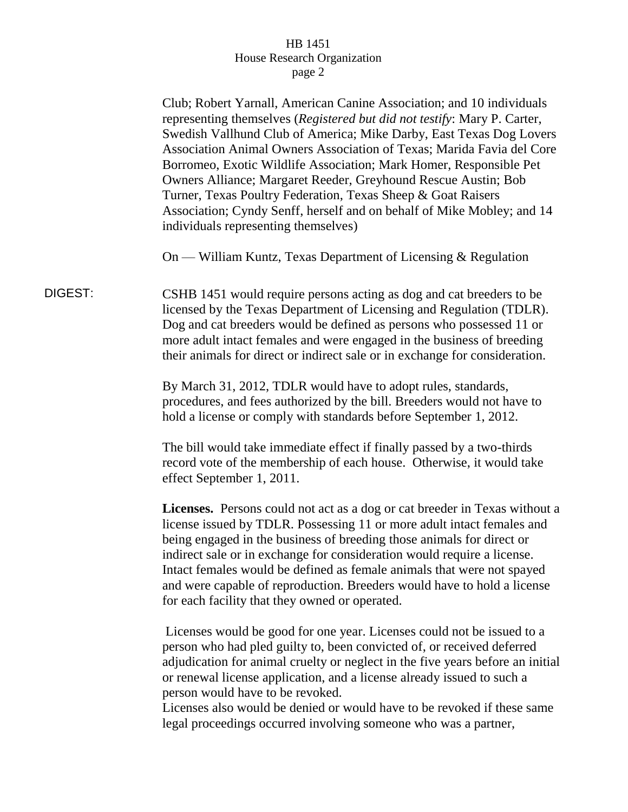|         | Club; Robert Yarnall, American Canine Association; and 10 individuals<br>representing themselves (Registered but did not testify: Mary P. Carter,<br>Swedish Vallhund Club of America; Mike Darby, East Texas Dog Lovers<br>Association Animal Owners Association of Texas; Marida Favia del Core<br>Borromeo, Exotic Wildlife Association; Mark Homer, Responsible Pet<br>Owners Alliance; Margaret Reeder, Greyhound Rescue Austin; Bob<br>Turner, Texas Poultry Federation, Texas Sheep & Goat Raisers<br>Association; Cyndy Senff, herself and on behalf of Mike Mobley; and 14<br>individuals representing themselves) |
|---------|-----------------------------------------------------------------------------------------------------------------------------------------------------------------------------------------------------------------------------------------------------------------------------------------------------------------------------------------------------------------------------------------------------------------------------------------------------------------------------------------------------------------------------------------------------------------------------------------------------------------------------|
|         | On — William Kuntz, Texas Department of Licensing & Regulation                                                                                                                                                                                                                                                                                                                                                                                                                                                                                                                                                              |
| DIGEST: | CSHB 1451 would require persons acting as dog and cat breeders to be<br>licensed by the Texas Department of Licensing and Regulation (TDLR).<br>Dog and cat breeders would be defined as persons who possessed 11 or<br>more adult intact females and were engaged in the business of breeding<br>their animals for direct or indirect sale or in exchange for consideration.                                                                                                                                                                                                                                               |
|         | By March 31, 2012, TDLR would have to adopt rules, standards,<br>procedures, and fees authorized by the bill. Breeders would not have to<br>hold a license or comply with standards before September 1, 2012.                                                                                                                                                                                                                                                                                                                                                                                                               |
|         | The bill would take immediate effect if finally passed by a two-thirds<br>record vote of the membership of each house. Otherwise, it would take<br>effect September 1, 2011.                                                                                                                                                                                                                                                                                                                                                                                                                                                |
|         | Licenses. Persons could not act as a dog or cat breeder in Texas without a<br>license issued by TDLR. Possessing 11 or more adult intact females and<br>being engaged in the business of breeding those animals for direct or<br>indirect sale or in exchange for consideration would require a license.<br>Intact females would be defined as female animals that were not spayed<br>and were capable of reproduction. Breeders would have to hold a license<br>for each facility that they owned or operated.                                                                                                             |
|         | Licenses would be good for one year. Licenses could not be issued to a<br>person who had pled guilty to, been convicted of, or received deferred<br>adjudication for animal cruelty or neglect in the five years before an initial<br>or renewal license application, and a license already issued to such a<br>person would have to be revoked.<br>Licenses also would be denied or would have to be revoked if these same<br>legal proceedings occurred involving someone who was a partner,                                                                                                                              |
|         |                                                                                                                                                                                                                                                                                                                                                                                                                                                                                                                                                                                                                             |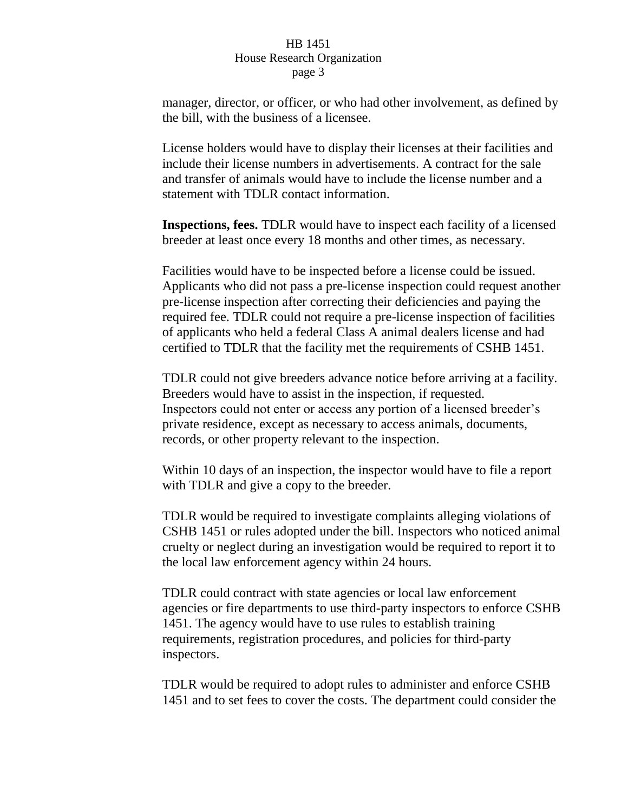manager, director, or officer, or who had other involvement, as defined by the bill, with the business of a licensee.

License holders would have to display their licenses at their facilities and include their license numbers in advertisements. A contract for the sale and transfer of animals would have to include the license number and a statement with TDLR contact information.

**Inspections, fees.** TDLR would have to inspect each facility of a licensed breeder at least once every 18 months and other times, as necessary.

Facilities would have to be inspected before a license could be issued. Applicants who did not pass a pre-license inspection could request another pre-license inspection after correcting their deficiencies and paying the required fee. TDLR could not require a pre-license inspection of facilities of applicants who held a federal Class A animal dealers license and had certified to TDLR that the facility met the requirements of CSHB 1451.

TDLR could not give breeders advance notice before arriving at a facility. Breeders would have to assist in the inspection, if requested. Inspectors could not enter or access any portion of a licensed breeder's private residence, except as necessary to access animals, documents, records, or other property relevant to the inspection.

Within 10 days of an inspection, the inspector would have to file a report with TDLR and give a copy to the breeder.

TDLR would be required to investigate complaints alleging violations of CSHB 1451 or rules adopted under the bill. Inspectors who noticed animal cruelty or neglect during an investigation would be required to report it to the local law enforcement agency within 24 hours.

TDLR could contract with state agencies or local law enforcement agencies or fire departments to use third-party inspectors to enforce CSHB 1451. The agency would have to use rules to establish training requirements, registration procedures, and policies for third-party inspectors.

TDLR would be required to adopt rules to administer and enforce CSHB 1451 and to set fees to cover the costs. The department could consider the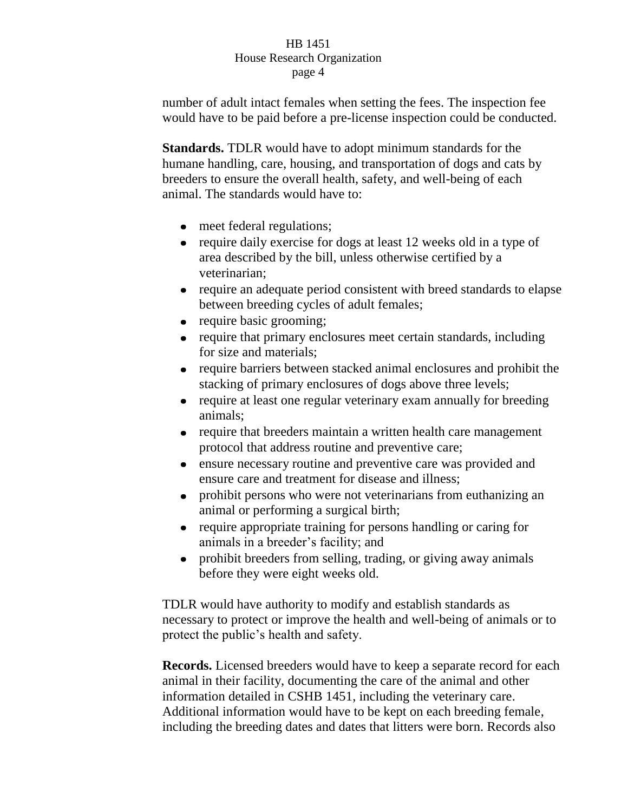number of adult intact females when setting the fees. The inspection fee would have to be paid before a pre-license inspection could be conducted.

**Standards.** TDLR would have to adopt minimum standards for the humane handling, care, housing, and transportation of dogs and cats by breeders to ensure the overall health, safety, and well-being of each animal. The standards would have to:

- meet federal regulations;
- require daily exercise for dogs at least 12 weeks old in a type of area described by the bill, unless otherwise certified by a veterinarian;
- require an adequate period consistent with breed standards to elapse between breeding cycles of adult females;
- require basic grooming;
- require that primary enclosures meet certain standards, including for size and materials;
- require barriers between stacked animal enclosures and prohibit the stacking of primary enclosures of dogs above three levels;
- require at least one regular veterinary exam annually for breeding animals;
- require that breeders maintain a written health care management protocol that address routine and preventive care;
- ensure necessary routine and preventive care was provided and ensure care and treatment for disease and illness;
- prohibit persons who were not veterinarians from euthanizing an animal or performing a surgical birth;
- require appropriate training for persons handling or caring for  $\bullet$ animals in a breeder's facility; and
- prohibit breeders from selling, trading, or giving away animals  $\bullet$ before they were eight weeks old.

TDLR would have authority to modify and establish standards as necessary to protect or improve the health and well-being of animals or to protect the public's health and safety.

**Records.** Licensed breeders would have to keep a separate record for each animal in their facility, documenting the care of the animal and other information detailed in CSHB 1451, including the veterinary care. Additional information would have to be kept on each breeding female, including the breeding dates and dates that litters were born. Records also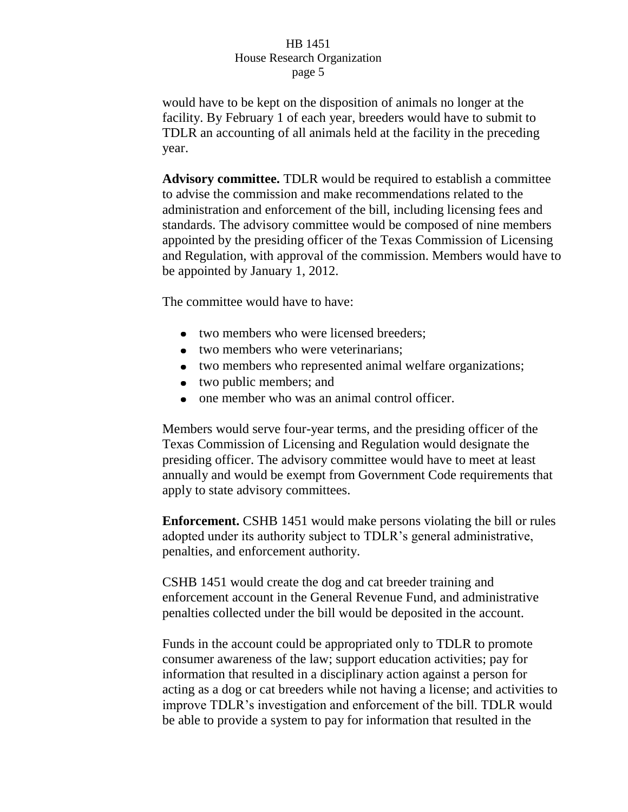would have to be kept on the disposition of animals no longer at the facility. By February 1 of each year, breeders would have to submit to TDLR an accounting of all animals held at the facility in the preceding year.

**Advisory committee.** TDLR would be required to establish a committee to advise the commission and make recommendations related to the administration and enforcement of the bill, including licensing fees and standards. The advisory committee would be composed of nine members appointed by the presiding officer of the Texas Commission of Licensing and Regulation, with approval of the commission. Members would have to be appointed by January 1, 2012.

The committee would have to have:

- two members who were licensed breeders;
- two members who were veterinarians:
- two members who represented animal welfare organizations;
- two public members; and
- one member who was an animal control officer.

Members would serve four-year terms, and the presiding officer of the Texas Commission of Licensing and Regulation would designate the presiding officer. The advisory committee would have to meet at least annually and would be exempt from Government Code requirements that apply to state advisory committees.

**Enforcement.** CSHB 1451 would make persons violating the bill or rules adopted under its authority subject to TDLR's general administrative, penalties, and enforcement authority.

CSHB 1451 would create the dog and cat breeder training and enforcement account in the General Revenue Fund, and administrative penalties collected under the bill would be deposited in the account.

Funds in the account could be appropriated only to TDLR to promote consumer awareness of the law; support education activities; pay for information that resulted in a disciplinary action against a person for acting as a dog or cat breeders while not having a license; and activities to improve TDLR's investigation and enforcement of the bill. TDLR would be able to provide a system to pay for information that resulted in the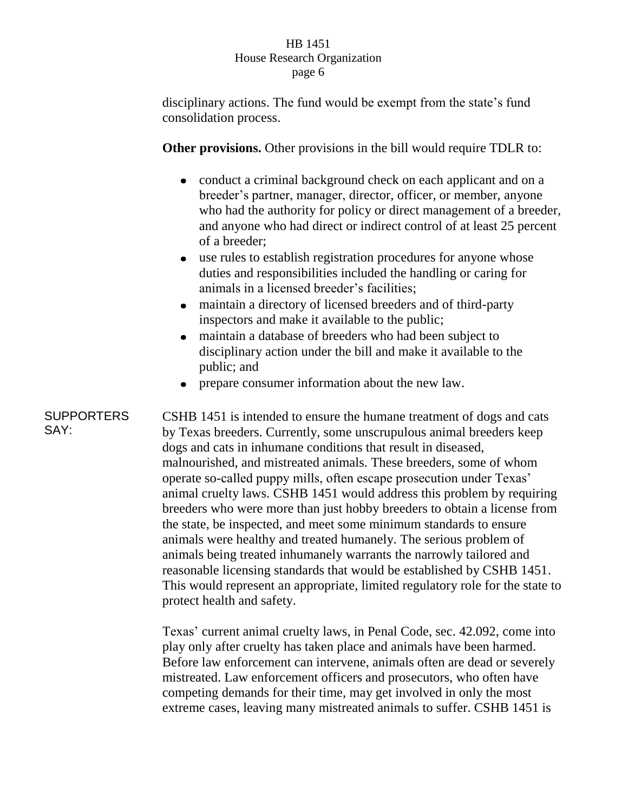disciplinary actions. The fund would be exempt from the state's fund consolidation process.

**Other provisions.** Other provisions in the bill would require TDLR to:

- conduct a criminal background check on each applicant and on a breeder's partner, manager, director, officer, or member, anyone who had the authority for policy or direct management of a breeder, and anyone who had direct or indirect control of at least 25 percent of a breeder;
- $\bullet$ use rules to establish registration procedures for anyone whose duties and responsibilities included the handling or caring for animals in a licensed breeder's facilities;
- maintain a directory of licensed breeders and of third-party  $\bullet$ inspectors and make it available to the public;
- maintain a database of breeders who had been subject to disciplinary action under the bill and make it available to the public; and
- prepare consumer information about the new law.  $\bullet$

**SUPPORTERS** SAY: CSHB 1451 is intended to ensure the humane treatment of dogs and cats by Texas breeders. Currently, some unscrupulous animal breeders keep dogs and cats in inhumane conditions that result in diseased, malnourished, and mistreated animals. These breeders, some of whom operate so-called puppy mills, often escape prosecution under Texas' animal cruelty laws. CSHB 1451 would address this problem by requiring breeders who were more than just hobby breeders to obtain a license from the state, be inspected, and meet some minimum standards to ensure animals were healthy and treated humanely. The serious problem of animals being treated inhumanely warrants the narrowly tailored and reasonable licensing standards that would be established by CSHB 1451. This would represent an appropriate, limited regulatory role for the state to protect health and safety.

> Texas' current animal cruelty laws, in Penal Code, sec. 42.092, come into play only after cruelty has taken place and animals have been harmed. Before law enforcement can intervene, animals often are dead or severely mistreated. Law enforcement officers and prosecutors, who often have competing demands for their time, may get involved in only the most extreme cases, leaving many mistreated animals to suffer. CSHB 1451 is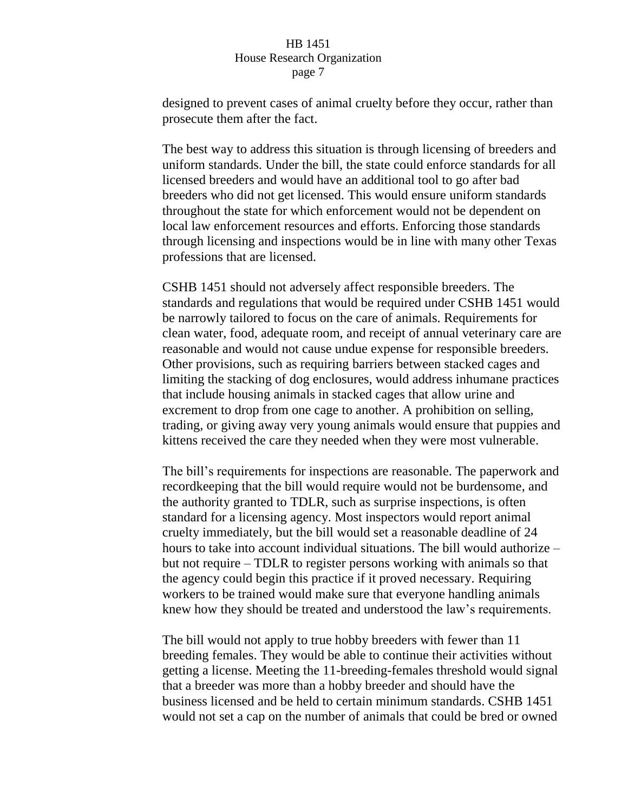designed to prevent cases of animal cruelty before they occur, rather than prosecute them after the fact.

The best way to address this situation is through licensing of breeders and uniform standards. Under the bill, the state could enforce standards for all licensed breeders and would have an additional tool to go after bad breeders who did not get licensed. This would ensure uniform standards throughout the state for which enforcement would not be dependent on local law enforcement resources and efforts. Enforcing those standards through licensing and inspections would be in line with many other Texas professions that are licensed.

CSHB 1451 should not adversely affect responsible breeders. The standards and regulations that would be required under CSHB 1451 would be narrowly tailored to focus on the care of animals. Requirements for clean water, food, adequate room, and receipt of annual veterinary care are reasonable and would not cause undue expense for responsible breeders. Other provisions, such as requiring barriers between stacked cages and limiting the stacking of dog enclosures, would address inhumane practices that include housing animals in stacked cages that allow urine and excrement to drop from one cage to another. A prohibition on selling, trading, or giving away very young animals would ensure that puppies and kittens received the care they needed when they were most vulnerable.

The bill's requirements for inspections are reasonable. The paperwork and recordkeeping that the bill would require would not be burdensome, and the authority granted to TDLR, such as surprise inspections, is often standard for a licensing agency. Most inspectors would report animal cruelty immediately, but the bill would set a reasonable deadline of 24 hours to take into account individual situations. The bill would authorize – but not require – TDLR to register persons working with animals so that the agency could begin this practice if it proved necessary. Requiring workers to be trained would make sure that everyone handling animals knew how they should be treated and understood the law's requirements.

The bill would not apply to true hobby breeders with fewer than 11 breeding females. They would be able to continue their activities without getting a license. Meeting the 11-breeding-females threshold would signal that a breeder was more than a hobby breeder and should have the business licensed and be held to certain minimum standards. CSHB 1451 would not set a cap on the number of animals that could be bred or owned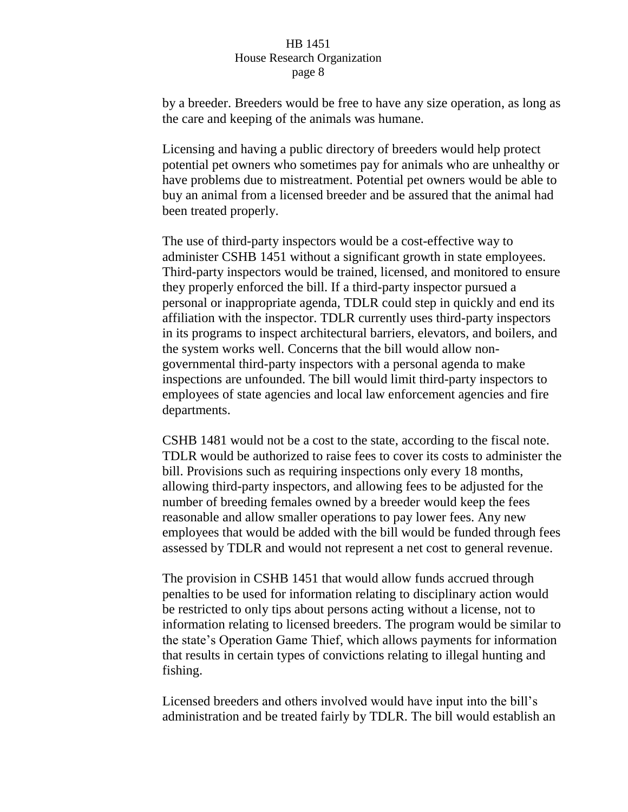by a breeder. Breeders would be free to have any size operation, as long as the care and keeping of the animals was humane.

Licensing and having a public directory of breeders would help protect potential pet owners who sometimes pay for animals who are unhealthy or have problems due to mistreatment. Potential pet owners would be able to buy an animal from a licensed breeder and be assured that the animal had been treated properly.

The use of third-party inspectors would be a cost-effective way to administer CSHB 1451 without a significant growth in state employees. Third-party inspectors would be trained, licensed, and monitored to ensure they properly enforced the bill. If a third-party inspector pursued a personal or inappropriate agenda, TDLR could step in quickly and end its affiliation with the inspector. TDLR currently uses third-party inspectors in its programs to inspect architectural barriers, elevators, and boilers, and the system works well. Concerns that the bill would allow nongovernmental third-party inspectors with a personal agenda to make inspections are unfounded. The bill would limit third-party inspectors to employees of state agencies and local law enforcement agencies and fire departments.

CSHB 1481 would not be a cost to the state, according to the fiscal note. TDLR would be authorized to raise fees to cover its costs to administer the bill. Provisions such as requiring inspections only every 18 months, allowing third-party inspectors, and allowing fees to be adjusted for the number of breeding females owned by a breeder would keep the fees reasonable and allow smaller operations to pay lower fees. Any new employees that would be added with the bill would be funded through fees assessed by TDLR and would not represent a net cost to general revenue.

The provision in CSHB 1451 that would allow funds accrued through penalties to be used for information relating to disciplinary action would be restricted to only tips about persons acting without a license, not to information relating to licensed breeders. The program would be similar to the state's Operation Game Thief, which allows payments for information that results in certain types of convictions relating to illegal hunting and fishing.

Licensed breeders and others involved would have input into the bill's administration and be treated fairly by TDLR. The bill would establish an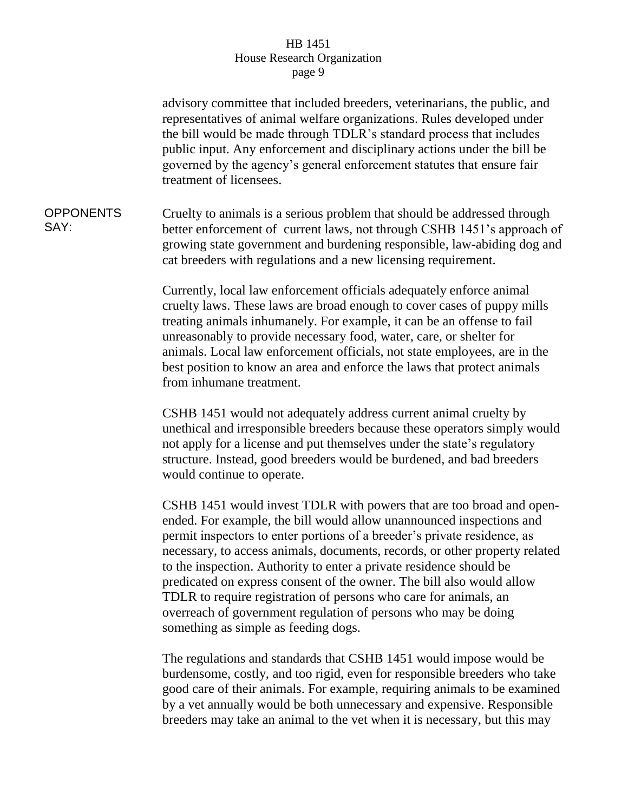advisory committee that included breeders, veterinarians, the public, and representatives of animal welfare organizations. Rules developed under the bill would be made through TDLR's standard process that includes public input. Any enforcement and disciplinary actions under the bill be governed by the agency's general enforcement statutes that ensure fair treatment of licensees. OPPONENTS SAY: Cruelty to animals is a serious problem that should be addressed through better enforcement of current laws, not through CSHB 1451's approach of growing state government and burdening responsible, law-abiding dog and cat breeders with regulations and a new licensing requirement. Currently, local law enforcement officials adequately enforce animal cruelty laws. These laws are broad enough to cover cases of puppy mills treating animals inhumanely. For example, it can be an offense to fail unreasonably to provide necessary food, water, care, or shelter for animals. Local law enforcement officials, not state employees, are in the best position to know an area and enforce the laws that protect animals from inhumane treatment. CSHB 1451 would not adequately address current animal cruelty by unethical and irresponsible breeders because these operators simply would not apply for a license and put themselves under the state's regulatory structure. Instead, good breeders would be burdened, and bad breeders would continue to operate. CSHB 1451 would invest TDLR with powers that are too broad and openended. For example, the bill would allow unannounced inspections and permit inspectors to enter portions of a breeder's private residence, as necessary, to access animals, documents, records, or other property related to the inspection. Authority to enter a private residence should be predicated on express consent of the owner. The bill also would allow TDLR to require registration of persons who care for animals, an overreach of government regulation of persons who may be doing something as simple as feeding dogs.

> The regulations and standards that CSHB 1451 would impose would be burdensome, costly, and too rigid, even for responsible breeders who take good care of their animals. For example, requiring animals to be examined by a vet annually would be both unnecessary and expensive. Responsible breeders may take an animal to the vet when it is necessary, but this may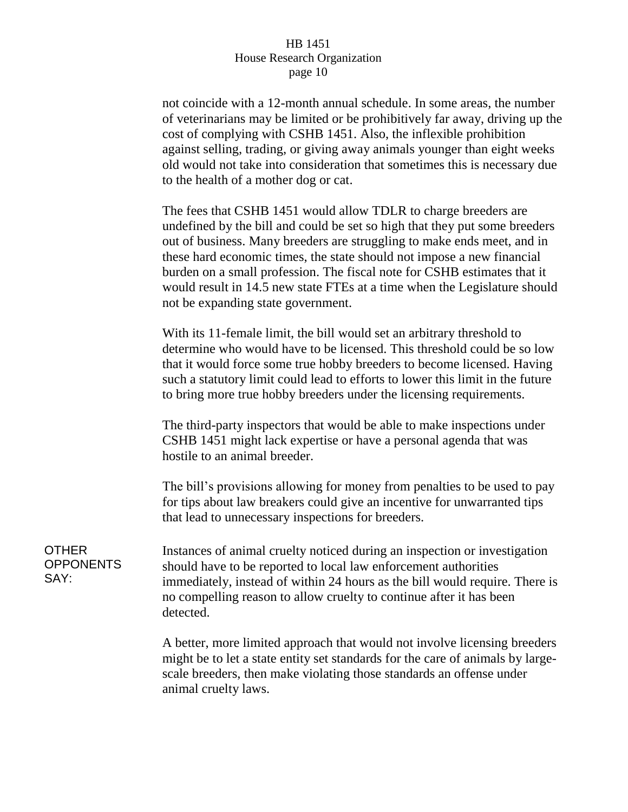not coincide with a 12-month annual schedule. In some areas, the number of veterinarians may be limited or be prohibitively far away, driving up the cost of complying with CSHB 1451. Also, the inflexible prohibition against selling, trading, or giving away animals younger than eight weeks old would not take into consideration that sometimes this is necessary due to the health of a mother dog or cat.

The fees that CSHB 1451 would allow TDLR to charge breeders are undefined by the bill and could be set so high that they put some breeders out of business. Many breeders are struggling to make ends meet, and in these hard economic times, the state should not impose a new financial burden on a small profession. The fiscal note for CSHB estimates that it would result in 14.5 new state FTEs at a time when the Legislature should not be expanding state government.

With its 11-female limit, the bill would set an arbitrary threshold to determine who would have to be licensed. This threshold could be so low that it would force some true hobby breeders to become licensed. Having such a statutory limit could lead to efforts to lower this limit in the future to bring more true hobby breeders under the licensing requirements.

The third-party inspectors that would be able to make inspections under CSHB 1451 might lack expertise or have a personal agenda that was hostile to an animal breeder.

The bill's provisions allowing for money from penalties to be used to pay for tips about law breakers could give an incentive for unwarranted tips that lead to unnecessary inspections for breeders.

Instances of animal cruelty noticed during an inspection or investigation should have to be reported to local law enforcement authorities immediately, instead of within 24 hours as the bill would require. There is no compelling reason to allow cruelty to continue after it has been detected.

> A better, more limited approach that would not involve licensing breeders might be to let a state entity set standards for the care of animals by largescale breeders, then make violating those standards an offense under animal cruelty laws.

## OTHER **OPPONENTS** SAY: